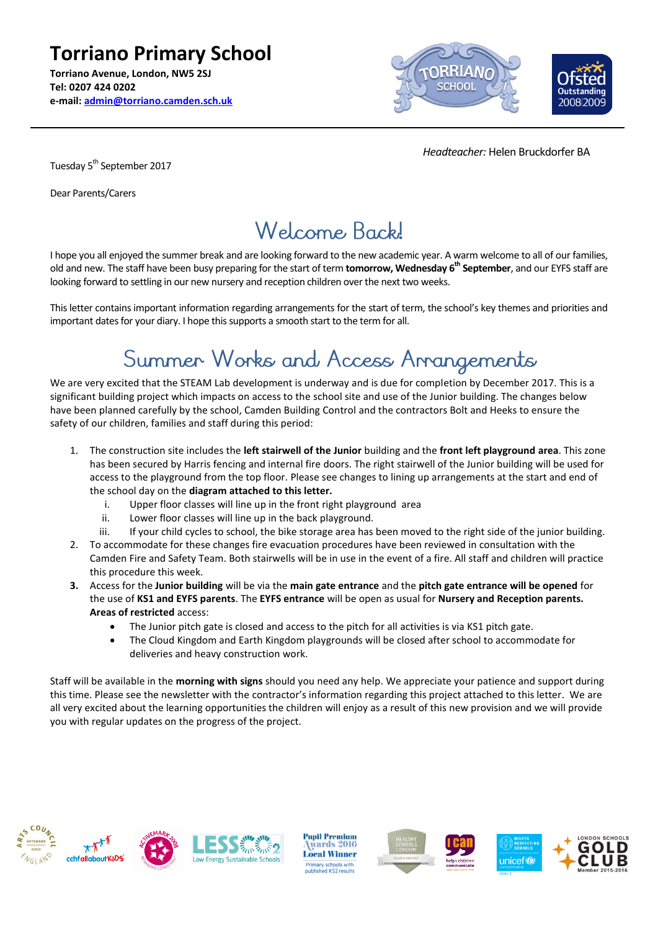**Torriano Primary School Torriano Avenue, London, NW5 2SJ Tel: 0207 424 0202 e-mail: [admin@torriano.camden.sch.uk](mailto:admin@torriano.camden.sch.uk)**



 *Headteacher:* Helen Bruckdorfer BA

Tuesday 5<sup>th</sup> September 2017

Dear Parents/Carers

#### Welcome Back!

I hope you all enjoyed the summer break and are looking forward to the new academic year. A warm welcome to all of our families, old and new. The staff have been busy preparing for the start of term **tomorrow, Wednesday 6th September**, and our EYFS staff are looking forward to settling in our new nursery and reception children over the next two weeks.

This letter contains important information regarding arrangements for the start of term, the school's key themes and priorities and important dates for your diary. I hope this supports a smooth start to the term for all.

### Summer Works and Access Arrangements

We are very excited that the STEAM Lab development is underway and is due for completion by December 2017. This is a significant building project which impacts on access to the school site and use of the Junior building. The changes below have been planned carefully by the school, Camden Building Control and the contractors Bolt and Heeks to ensure the safety of our children, families and staff during this period:

- 1. The construction site includes the **left stairwell of the Junior** building and the **front left playground area**. This zone has been secured by Harris fencing and internal fire doors. The right stairwell of the Junior building will be used for access to the playground from the top floor. Please see changes to lining up arrangements at the start and end of the school day on the **diagram attached to this letter.**
	- i. Upper floor classes will line up in the front right playground area
	- ii. Lower floor classes will line up in the back playground.
	- iii. If your child cycles to school, the bike storage area has been moved to the right side of the junior building.
- 2. To accommodate for these changes fire evacuation procedures have been reviewed in consultation with the Camden Fire and Safety Team. Both stairwells will be in use in the event of a fire. All staff and children will practice this procedure this week.
- **3.** Access for the **Junior building** will be via the **main gate entrance** and the **pitch gate entrance will be opened** for the use of **KS1 and EYFS parents**. The **EYFS entrance** will be open as usual for **Nursery and Reception parents. Areas of restricted** access:
	- The Junior pitch gate is closed and access to the pitch for all activities is via KS1 pitch gate.
	- The Cloud Kingdom and Earth Kingdom playgrounds will be closed after school to accommodate for deliveries and heavy construction work.

Staff will be available in the **morning with signs** should you need any help. We appreciate your patience and support during this time. Please see the newsletter with the contractor's information regarding this project attached to this letter. We are all very excited about the learning opportunities the children will enjoy as a result of this new provision and we will provide you with regular updates on the progress of the project.









**Pupil Premium** wards 2016 **Local Winner** ry <mark>schools</mark><br>hed KS2 re







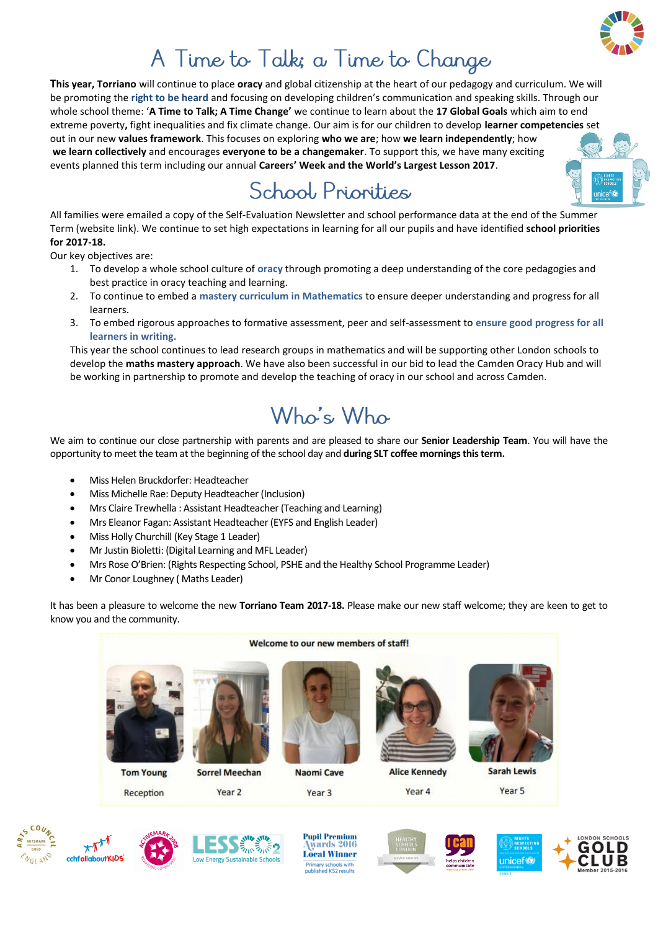

# A Time to Talk; a Time to Change

**This year, Torriano** will continue to place **oracy** and global citizenship at the heart of our pedagogy and curriculum. We will be promoting the **right to be heard** and focusing on developing children's communication and speaking skills. Through our whole school theme: '**A Time to Talk; A Time Change'** we continue to learn about the **17 Global Goals** which aim to end extreme poverty**,** fight inequalities and fix climate change. Our aim is for our children to develop **learner competencies** set out in our new **values framework**. This focuses on exploring **who we are**; how **we learn independently**; how **we learn collectively** and encourages **everyone to be a changemaker**. To support this, we have many exciting events planned this term including our annual **Careers' Week and the World's Largest Lesson 2017**.

# School Priorities

All families were emailed a copy of the Self-Evaluation Newsletter and school performance data at the end of the Summer Term (website link). We continue to set high expectations in learning for all our pupils and have identified **school priorities for 2017-18.** 

Our key objectives are:

- 1. To develop a whole school culture of **oracy** through promoting a deep understanding of the core pedagogies and best practice in oracy teaching and learning.
- 2. To continue to embed a **mastery curriculum in Mathematics** to ensure deeper understanding and progress for all learners.
- 3. To embed rigorous approaches to formative assessment, peer and self-assessment to **ensure good progress for all learners in writing.**

This year the school continues to lead research groups in mathematics and will be supporting other London schools to develop the **maths mastery approach**. We have also been successful in our bid to lead the Camden Oracy Hub and will be working in partnership to promote and develop the teaching of oracy in our school and across Camden.

### Who's Who

We aim to continue our close partnership with parents and are pleased to share our **Senior Leadership Team**. You will have the opportunity to meet the team at the beginning of the school day and **during SLT coffee mornings this term.**

- Miss Helen Bruckdorfer: Headteacher
- Miss Michelle Rae: Deputy Headteacher (Inclusion)
- Mrs Claire Trewhella : Assistant Headteacher (Teaching and Learning)
- Mrs Eleanor Fagan: Assistant Headteacher (EYFS and English Leader)
- Miss Holly Churchill (Key Stage 1 Leader)
- Mr Justin Bioletti: (Digital Learning and MFL Leader)
- Mrs Rose O'Brien: (Rights Respecting School, PSHE and the Healthy School Programme Leader)
- Mr Conor Loughney ( Maths Leader)

It has been a pleasure to welcome the new **Torriano Team 2017-18.** Please make our new staff welcome; they are keen to get to know you and the community.

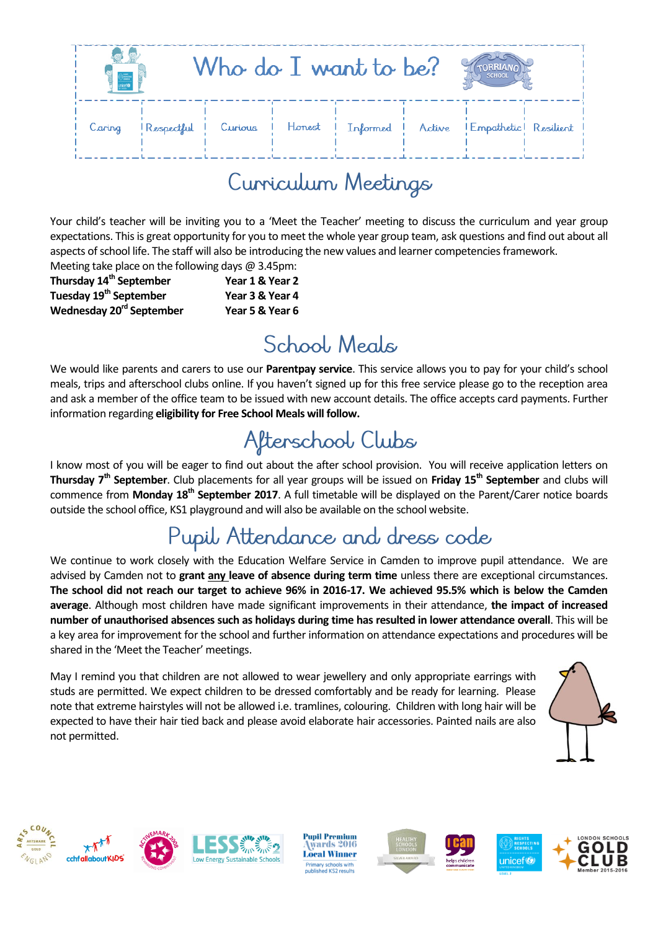| $\frac{\partial \lim_{t\to\infty}}{\partial x^t}$ |  | Who do I want to be? |                                                                |  | SCHOO |  |
|---------------------------------------------------|--|----------------------|----------------------------------------------------------------|--|-------|--|
| Caring                                            |  |                      | Respectful Curious Honest Informed Active Empathetic Resilient |  |       |  |

### Curriculum Meetings

Your child's teacher will be inviting you to a 'Meet the Teacher' meeting to discuss the curriculum and year group expectations. This is great opportunity for you to meet the whole year group team, ask questions and find out about all aspects of school life. The staff will also be introducing the new values and learner competencies framework. Meeting take place on the following days  $\omega$  3.45pm;

| $\frac{1}{2}$ . The case process on the following days $\epsilon$ of following |
|--------------------------------------------------------------------------------|
| Year 1 & Year 2                                                                |
| Year 3 & Year 4                                                                |
| Year 5 & Year 6                                                                |
|                                                                                |

# School, Meals

We would like parents and carers to use our **Parentpay service**. This service allows you to pay for your child's school meals, trips and afterschool clubs online. If you haven't signed up for this free service please go to the reception area and ask a member of the office team to be issued with new account details. The office accepts card payments. Further information regarding **eligibility for Free School Meals will follow.**

### Afterschool Clubs

I know most of you will be eager to find out about the after school provision. You will receive application letters on **Thursday 7th September**. Club placements for all year groups will be issued on **Friday 15th September** and clubs will commence from **Monday 18 th September 2017**. A full timetable will be displayed on the Parent/Carer notice boards outside the school office, KS1 playground and will also be available on the school website.

### Pupil Attendance and dress code

We continue to work closely with the Education Welfare Service in Camden to improve pupil attendance. We are advised by Camden not to **grant any leave of absence during term time** unless there are exceptional circumstances. **The school did not reach our target to achieve 96% in 2016-17. We achieved 95.5% which is below the Camden average**. Although most children have made significant improvements in their attendance, **the impact of increased number of unauthorised absences such as holidays during time has resulted in lower attendance overall**. This will be a key area for improvement for the school and further information on attendance expectations and procedures will be shared in the 'Meet the Teacher' meetings.

May I remind you that children are not allowed to wear jewellery and only appropriate earrings with studs are permitted. We expect children to be dressed comfortably and be ready for learning. Please note that extreme hairstyles will not be allowed i.e. tramlines, colouring. Children with long hair will be expected to have their hair tied back and please avoid elaborate hair accessories. Painted nails are also not permitted.











**Pupil Premium** wards 2016 **Local Winner** 







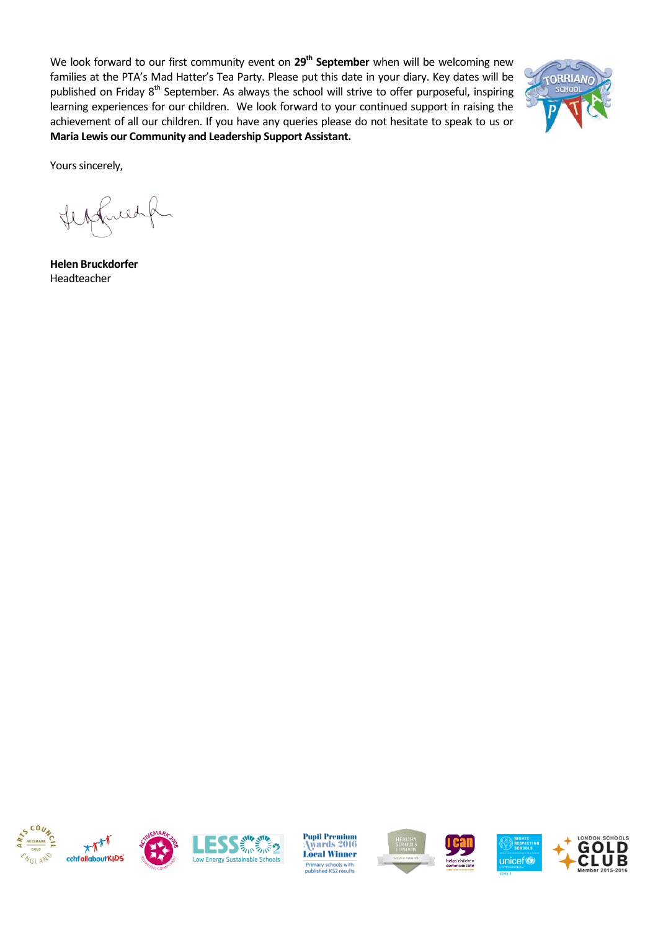We look forward to our first community event on 29<sup>th</sup> September when will be welcoming new families at the PTA's Mad Hatter's Tea Party. Please put this date in your diary. Key dates will be published on Friday 8<sup>th</sup> September. As always the school will strive to offer purposeful, inspiring learning experiences for our children. We look forward to your continued support in raising the achievement of all our children. If you have any queries please do not hesitate to speak to us or **Maria Lewis our Community and Leadership Support Assistant.**



Yours sincerely,

friedp

**Helen Bruckdorfer** Headteacher